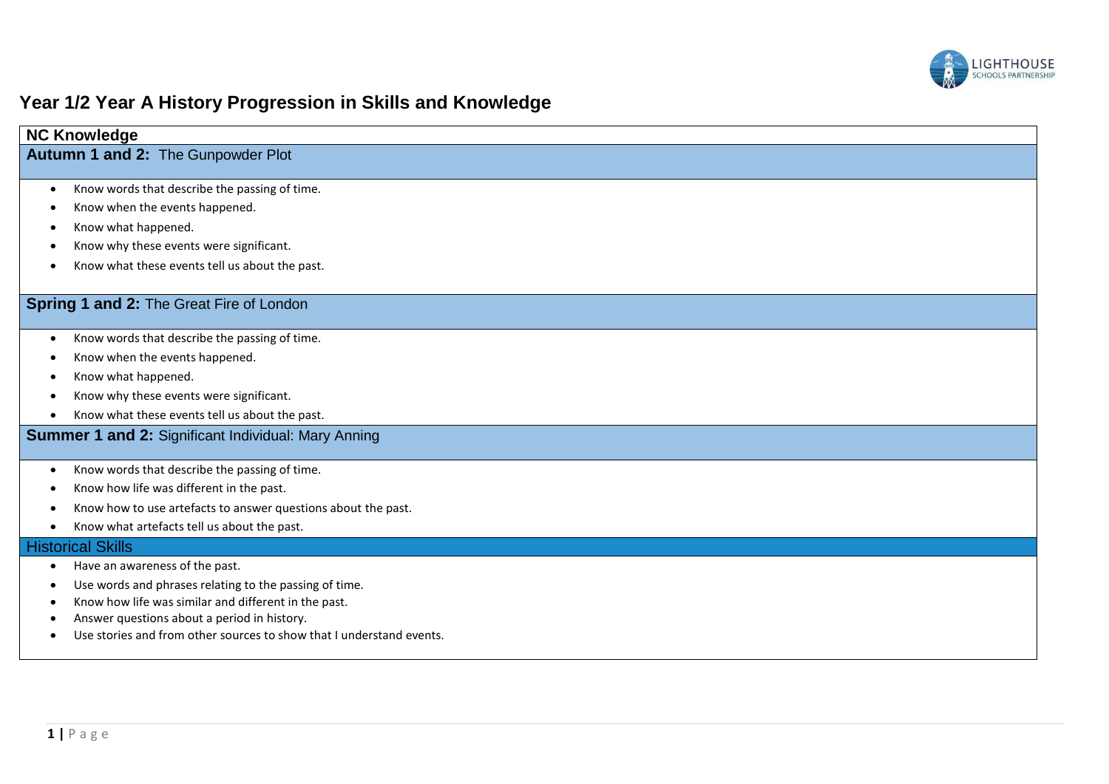

# **Year 1/2 Year A History Progression in Skills and Knowledge**

| <b>NC Knowledge</b>                                                  |
|----------------------------------------------------------------------|
| <b>Autumn 1 and 2: The Gunpowder Plot</b>                            |
|                                                                      |
| Know words that describe the passing of time.<br>$\bullet$           |
| Know when the events happened.                                       |
| Know what happened.                                                  |
| Know why these events were significant.                              |
| Know what these events tell us about the past.                       |
|                                                                      |
| Spring 1 and 2: The Great Fire of London                             |
| Know words that describe the passing of time.                        |
| Know when the events happened.                                       |
| Know what happened.                                                  |
| Know why these events were significant.                              |
| Know what these events tell us about the past.                       |
| <b>Summer 1 and 2: Significant Individual: Mary Anning</b>           |
|                                                                      |
| Know words that describe the passing of time.                        |
| Know how life was different in the past.                             |
| Know how to use artefacts to answer questions about the past.        |
| Know what artefacts tell us about the past.                          |
| <b>Historical Skills</b>                                             |
| Have an awareness of the past.<br>$\bullet$                          |
| Use words and phrases relating to the passing of time.               |
| Know how life was similar and different in the past.                 |
| Answer questions about a period in history.                          |
| Use stories and from other sources to show that I understand events. |
|                                                                      |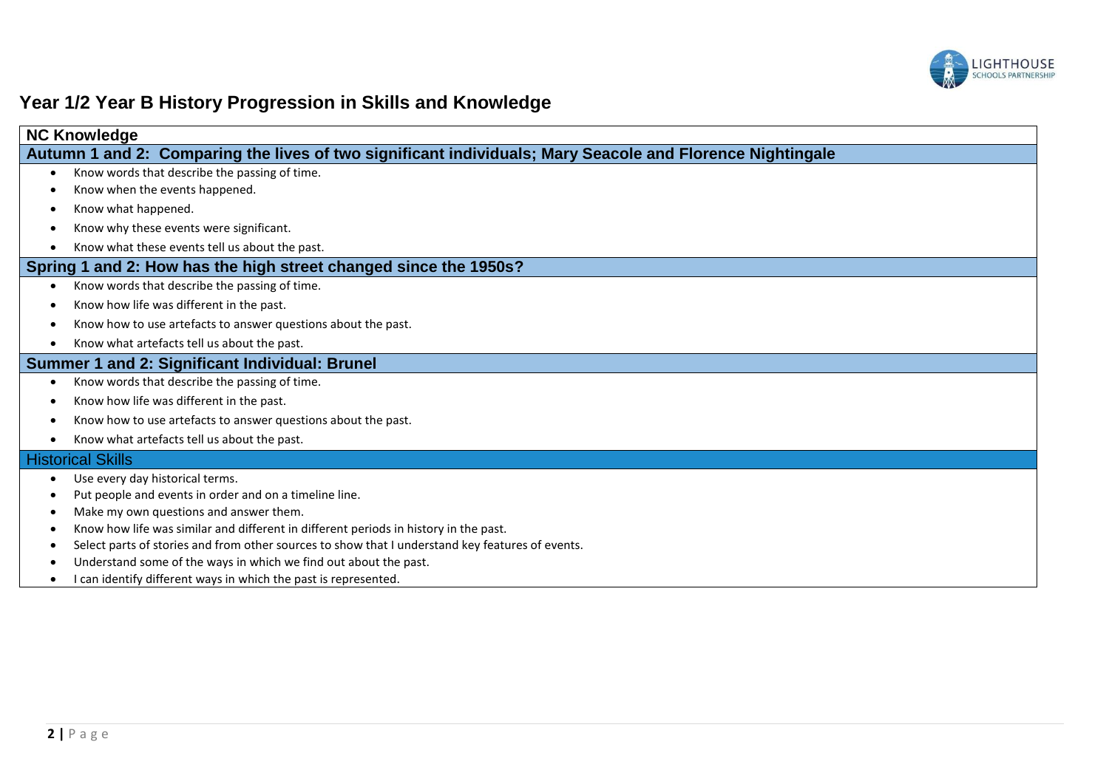

# **Year 1/2 Year B History Progression in Skills and Knowledge**

| <b>NC Knowledge</b>                                                                                       |
|-----------------------------------------------------------------------------------------------------------|
| Autumn 1 and 2: Comparing the lives of two significant individuals; Mary Seacole and Florence Nightingale |
| Know words that describe the passing of time.                                                             |
| Know when the events happened.                                                                            |
| Know what happened.                                                                                       |
| Know why these events were significant.                                                                   |
| Know what these events tell us about the past.                                                            |
| Spring 1 and 2: How has the high street changed since the 1950s?                                          |
| Know words that describe the passing of time.<br>$\bullet$                                                |
| Know how life was different in the past.                                                                  |
| Know how to use artefacts to answer questions about the past.                                             |
| Know what artefacts tell us about the past.<br>$\bullet$                                                  |
| Summer 1 and 2: Significant Individual: Brunel                                                            |
| Know words that describe the passing of time.                                                             |
| Know how life was different in the past.                                                                  |
| Know how to use artefacts to answer questions about the past.                                             |
| Know what artefacts tell us about the past.                                                               |
| <b>Historical Skills</b>                                                                                  |
| Use every day historical terms.                                                                           |
| Put people and events in order and on a timeline line.                                                    |
| Make my own questions and answer them.                                                                    |
| Know how life was similar and different in different periods in history in the past.                      |
| Select parts of stories and from other sources to show that I understand key features of events.          |
| Understand some of the ways in which we find out about the past.                                          |
| I can identify different ways in which the past is represented.                                           |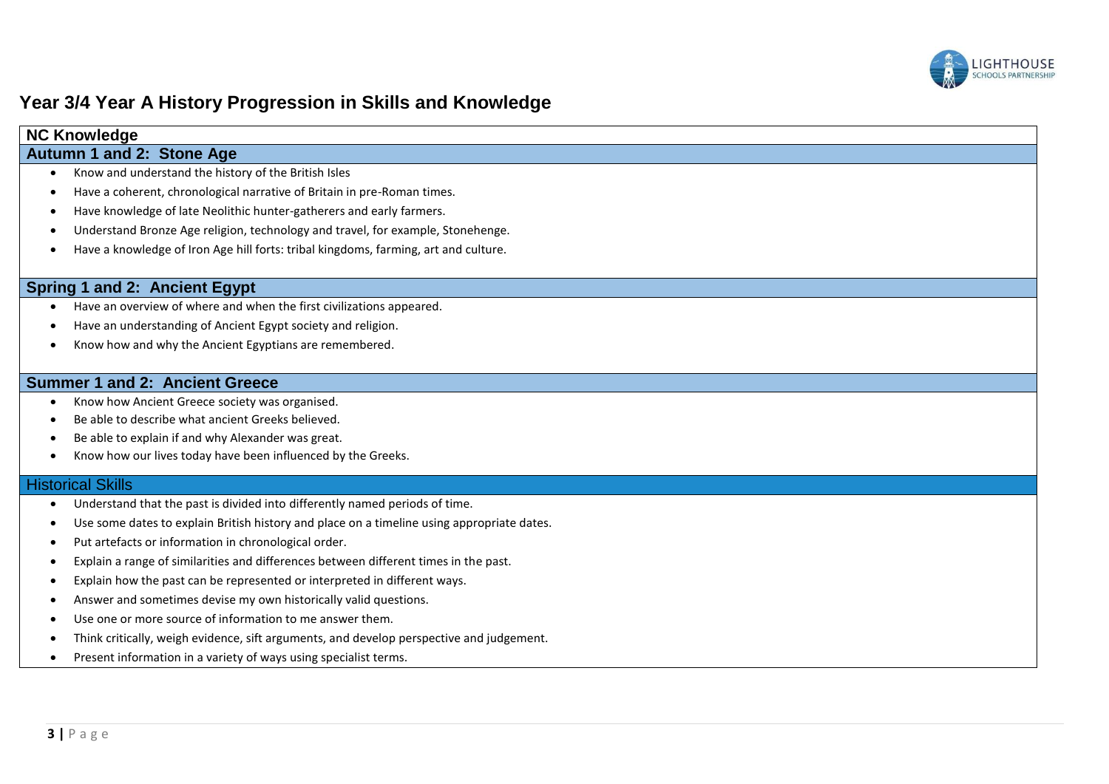

### **Year 3/4 Year A History Progression in Skills and Knowledge**

### **NC Knowledge**

### **Autumn 1 and 2: Stone Age**

- Know and understand the history of the British Isles
- Have a coherent, chronological narrative of Britain in pre-Roman times.
- Have knowledge of late Neolithic hunter-gatherers and early farmers.
- Understand Bronze Age religion, technology and travel, for example, Stonehenge.
- Have a knowledge of Iron Age hill forts: tribal kingdoms, farming, art and culture.

#### **Spring 1 and 2: Ancient Egypt**

- Have an overview of where and when the first civilizations appeared.
- Have an understanding of Ancient Egypt society and religion.
- Know how and why the Ancient Egyptians are remembered.

### **Summer 1 and 2: Ancient Greece**

- Know how Ancient Greece society was organised.
- Be able to describe what ancient Greeks believed.
- Be able to explain if and why Alexander was great.
- Know how our lives today have been influenced by the Greeks.

#### **Historical Skills**

- Understand that the past is divided into differently named periods of time.
- Use some dates to explain British history and place on a timeline using appropriate dates.
- Put artefacts or information in chronological order.
- Explain a range of similarities and differences between different times in the past.
- Explain how the past can be represented or interpreted in different ways.
- Answer and sometimes devise my own historically valid questions.
- Use one or more source of information to me answer them.
- Think critically, weigh evidence, sift arguments, and develop perspective and judgement.
- Present information in a variety of ways using specialist terms.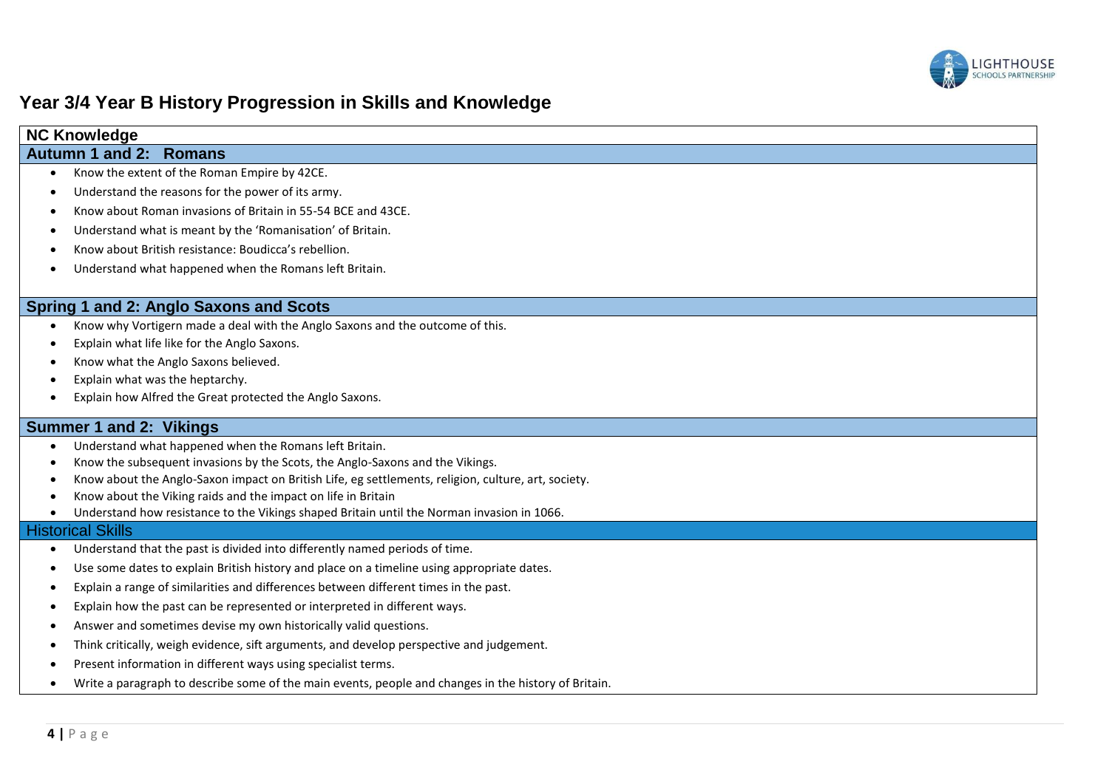

## **Year 3/4 Year B History Progression in Skills and Knowledge**

| <b>NC Knowledge</b>                                                                                      |  |
|----------------------------------------------------------------------------------------------------------|--|
| Autumn 1 and 2: Romans                                                                                   |  |
| Know the extent of the Roman Empire by 42CE.<br>$\bullet$                                                |  |
| Understand the reasons for the power of its army.<br>$\bullet$                                           |  |
| Know about Roman invasions of Britain in 55-54 BCE and 43CE.<br>٠                                        |  |
| Understand what is meant by the 'Romanisation' of Britain.<br>٠                                          |  |
| Know about British resistance: Boudicca's rebellion.                                                     |  |
| Understand what happened when the Romans left Britain.<br>$\bullet$                                      |  |
| Spring 1 and 2: Anglo Saxons and Scots                                                                   |  |
| Know why Vortigern made a deal with the Anglo Saxons and the outcome of this.<br>$\bullet$               |  |
| Explain what life like for the Anglo Saxons.<br>٠                                                        |  |
| Know what the Anglo Saxons believed.<br>$\bullet$                                                        |  |
| Explain what was the heptarchy.<br>$\bullet$                                                             |  |
| Explain how Alfred the Great protected the Anglo Saxons.                                                 |  |
| Summer 1 and 2: Vikings                                                                                  |  |
| Understand what happened when the Romans left Britain.<br>$\bullet$                                      |  |
| Know the subsequent invasions by the Scots, the Anglo-Saxons and the Vikings.<br>$\bullet$               |  |
| Know about the Anglo-Saxon impact on British Life, eg settlements, religion, culture, art, society.<br>٠ |  |
| Know about the Viking raids and the impact on life in Britain                                            |  |
| Understand how resistance to the Vikings shaped Britain until the Norman invasion in 1066.<br>$\bullet$  |  |
| <b>Historical Skills</b>                                                                                 |  |
| Understand that the past is divided into differently named periods of time.<br>$\bullet$                 |  |
| Use some dates to explain British history and place on a timeline using appropriate dates.<br>$\bullet$  |  |

- Explain a range of similarities and differences between different times in the past.
- Explain how the past can be represented or interpreted in different ways.
- Answer and sometimes devise my own historically valid questions.
- Think critically, weigh evidence, sift arguments, and develop perspective and judgement.
- Present information in different ways using specialist terms.
- Write a paragraph to describe some of the main events, people and changes in the history of Britain.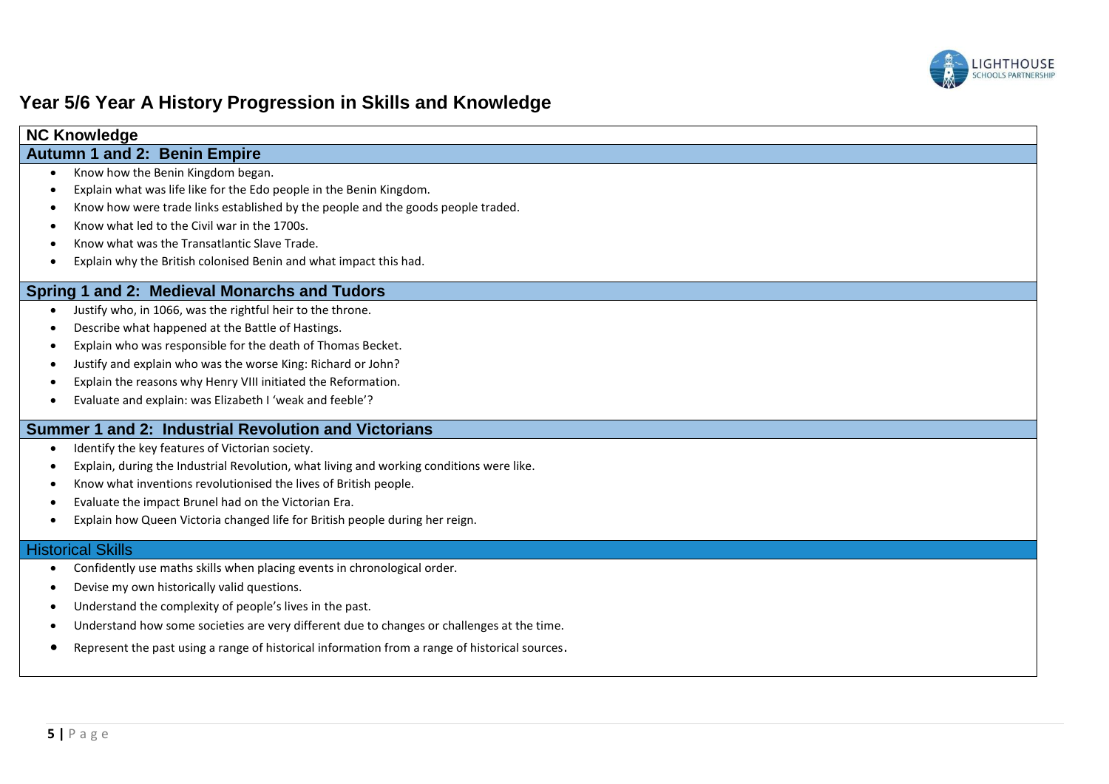

### **Year 5/6 Year A History Progression in Skills and Knowledge**

| <b>NC KNOWIEDUC</b>                                                              |
|----------------------------------------------------------------------------------|
| <b>Autumn 1 and 2: Benin Empire</b>                                              |
| Know how the Benin Kingdom began.                                                |
| Explain what was life like for the Edo people in the Benin Kingdom.              |
| Know how were trade links established by the people and the goods people traded. |
| Know what led to the Civil war in the 1700s.                                     |
| Know what was the Transatlantic Slave Trade.                                     |
| Explain why the British colonised Benin and what impact this had.                |
| Spring 1 and 2: Medieval Monarchs and Tudors                                     |
| Justify who, in 1066, was the rightful heir to the throne.                       |
| Describe what happened at the Battle of Hastings.                                |
| Explain who was responsible for the death of Thomas Becket.                      |

- Justify and explain who was the worse King: Richard or John?
- Explain the reasons why Henry VIII initiated the Reformation.
- Evaluate and explain: was Elizabeth I 'weak and feeble'?

#### **Summer 1 and 2: Industrial Revolution and Victorians**

- $\bullet$  Identify the key features of Victorian society.
- Explain, during the Industrial Revolution, what living and working conditions were like.
- Know what inventions revolutionised the lives of British people.
- Evaluate the impact Brunel had on the Victorian Era.
- Explain how Queen Victoria changed life for British people during her reign.

### **Historical Skills**

**NC Knowledge**

- Confidently use maths skills when placing events in chronological order.
- Devise my own historically valid questions.
- Understand the complexity of people's lives in the past.
- Understand how some societies are very different due to changes or challenges at the time.
- Represent the past using a range of historical information from a range of historical sources.